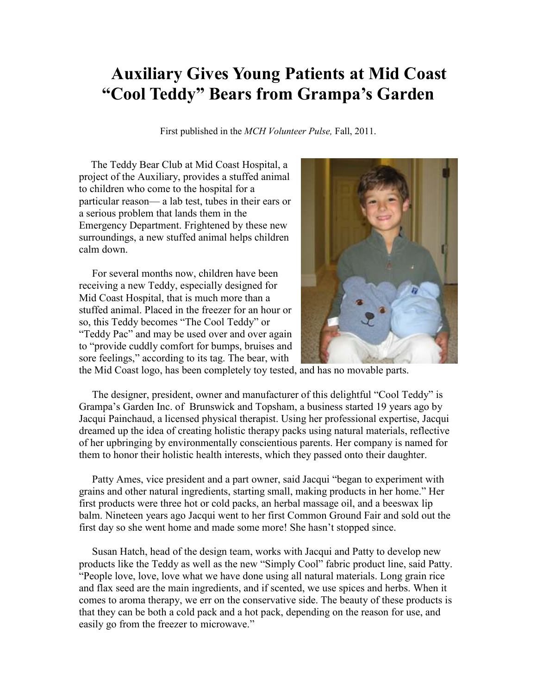## **Auxiliary Gives Young Patients at Mid Coast "Cool Teddy" Bears from Grampa's Garden**

First published in the *MCH Volunteer Pulse,* Fall, 2011.

 The Teddy Bear Club at Mid Coast Hospital, a project of the Auxiliary, provides a stuffed animal to children who come to the hospital for a particular reason— a lab test, tubes in their ears or a serious problem that lands them in the Emergency Department. Frightened by these new surroundings, a new stuffed animal helps children calm down.

 For several months now, children have been receiving a new Teddy, especially designed for Mid Coast Hospital, that is much more than a stuffed animal. Placed in the freezer for an hour or so, this Teddy becomes "The Cool Teddy" or "Teddy Pac" and may be used over and over again to "provide cuddly comfort for bumps, bruises and sore feelings," according to its tag. The bear, with



the Mid Coast logo, has been completely toy tested, and has no movable parts.

 The designer, president, owner and manufacturer of this delightful "Cool Teddy" is Grampa's Garden Inc. of Brunswick and Topsham, a business started 19 years ago by Jacqui Painchaud, a licensed physical therapist. Using her professional expertise, Jacqui dreamed up the idea of creating holistic therapy packs using natural materials, reflective of her upbringing by environmentally conscientious parents. Her company is named for them to honor their holistic health interests, which they passed onto their daughter.

 Patty Ames, vice president and a part owner, said Jacqui "began to experiment with grains and other natural ingredients, starting small, making products in her home." Her first products were three hot or cold packs, an herbal massage oil, and a beeswax lip balm. Nineteen years ago Jacqui went to her first Common Ground Fair and sold out the first day so she went home and made some more! She hasn't stopped since.

 Susan Hatch, head of the design team, works with Jacqui and Patty to develop new products like the Teddy as well as the new "Simply Cool" fabric product line, said Patty. "People love, love, love what we have done using all natural materials. Long grain rice and flax seed are the main ingredients, and if scented, we use spices and herbs. When it comes to aroma therapy, we err on the conservative side. The beauty of these products is that they can be both a cold pack and a hot pack, depending on the reason for use, and easily go from the freezer to microwave."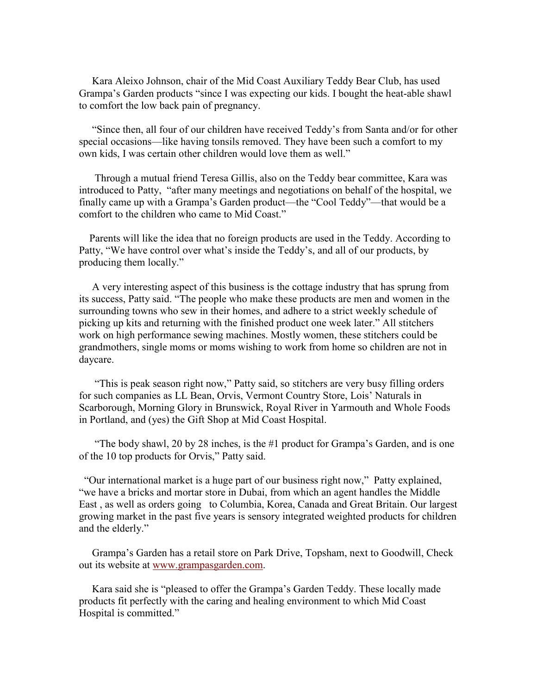Kara Aleixo Johnson, chair of the Mid Coast Auxiliary Teddy Bear Club, has used Grampa's Garden products "since I was expecting our kids. I bought the heat-able shawl to comfort the low back pain of pregnancy.

 "Since then, all four of our children have received Teddy's from Santa and/or for other special occasions—like having tonsils removed. They have been such a comfort to my own kids, I was certain other children would love them as well."

 Through a mutual friend Teresa Gillis, also on the Teddy bear committee, Kara was introduced to Patty, "after many meetings and negotiations on behalf of the hospital, we finally came up with a Grampa's Garden product—the "Cool Teddy"—that would be a comfort to the children who came to Mid Coast."

 Parents will like the idea that no foreign products are used in the Teddy. According to Patty, "We have control over what's inside the Teddy's, and all of our products, by producing them locally."

 A very interesting aspect of this business is the cottage industry that has sprung from its success, Patty said. "The people who make these products are men and women in the surrounding towns who sew in their homes, and adhere to a strict weekly schedule of picking up kits and returning with the finished product one week later." All stitchers work on high performance sewing machines. Mostly women, these stitchers could be grandmothers, single moms or moms wishing to work from home so children are not in daycare.

 "This is peak season right now," Patty said, so stitchers are very busy filling orders for such companies as LL Bean, Orvis, Vermont Country Store, Lois' Naturals in Scarborough, Morning Glory in Brunswick, Royal River in Yarmouth and Whole Foods in Portland, and (yes) the Gift Shop at Mid Coast Hospital.

 "The body shawl, 20 by 28 inches, is the #1 product for Grampa's Garden, and is one of the 10 top products for Orvis," Patty said.

 "Our international market is a huge part of our business right now," Patty explained, "we have a bricks and mortar store in Dubai, from which an agent handles the Middle East , as well as orders going to Columbia, Korea, Canada and Great Britain. Our largest growing market in the past five years is sensory integrated weighted products for children and the elderly."

 Grampa's Garden has a retail store on Park Drive, Topsham, next to Goodwill, Check out its website at www.grampasgarden.com.

 Kara said she is "pleased to offer the Grampa's Garden Teddy. These locally made products fit perfectly with the caring and healing environment to which Mid Coast Hospital is committed."